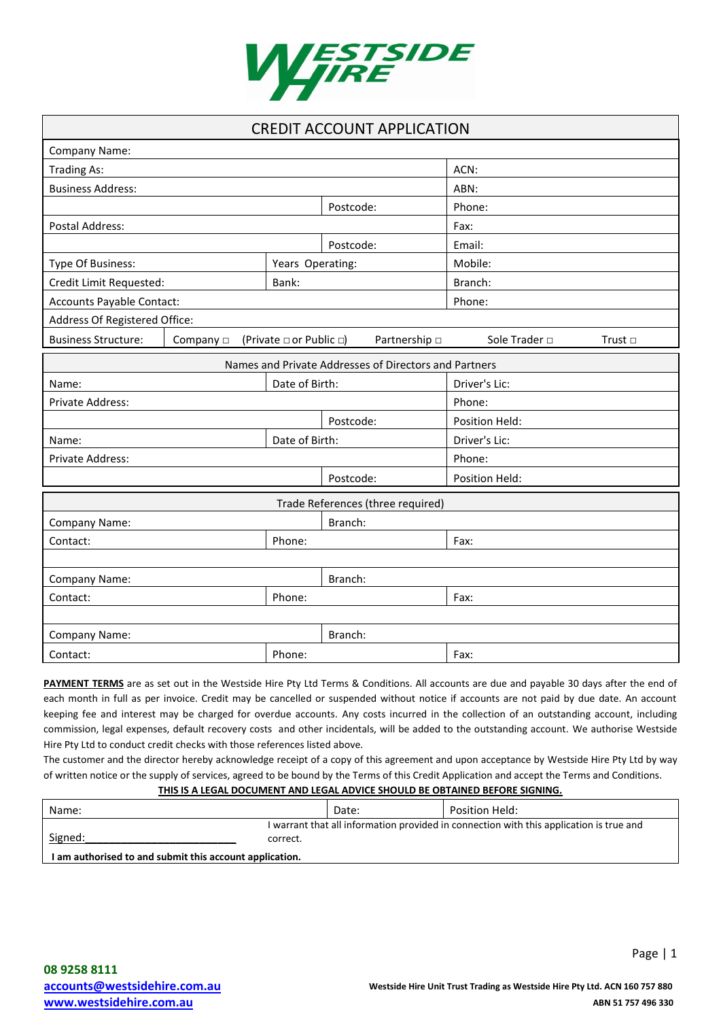

| <b>CREDIT ACCOUNT APPLICATION</b>                                                                              |                  |                |                |  |  |
|----------------------------------------------------------------------------------------------------------------|------------------|----------------|----------------|--|--|
| Company Name:                                                                                                  |                  |                |                |  |  |
| <b>Trading As:</b>                                                                                             |                  |                | ACN:           |  |  |
| <b>Business Address:</b>                                                                                       |                  |                | ABN:           |  |  |
|                                                                                                                |                  | Postcode:      | Phone:         |  |  |
| <b>Postal Address:</b>                                                                                         |                  |                | Fax:           |  |  |
|                                                                                                                |                  | Postcode:      | Email:         |  |  |
| Type Of Business:                                                                                              | Years Operating: |                | Mobile:        |  |  |
| Credit Limit Requested:                                                                                        | Bank:            |                | Branch:        |  |  |
| Accounts Payable Contact:                                                                                      |                  |                | Phone:         |  |  |
| Address Of Registered Office:                                                                                  |                  |                |                |  |  |
| <b>Business Structure:</b><br>Partnership $\Box$<br>Sole Trader □<br>Company $\Box$<br>(Private □ or Public □) |                  |                | Trust $\Box$   |  |  |
| Names and Private Addresses of Directors and Partners                                                          |                  |                |                |  |  |
| Date of Birth:<br>Name:                                                                                        |                  | Driver's Lic:  |                |  |  |
| Private Address:                                                                                               |                  | Phone:         |                |  |  |
| Postcode:                                                                                                      |                  | Position Held: |                |  |  |
| Date of Birth:<br>Name:                                                                                        |                  | Driver's Lic:  |                |  |  |
| Private Address:                                                                                               |                  |                | Phone:         |  |  |
|                                                                                                                |                  | Postcode:      | Position Held: |  |  |
| Trade References (three required)                                                                              |                  |                |                |  |  |
| Company Name:<br>Branch:                                                                                       |                  |                |                |  |  |
| Phone:<br>Contact:                                                                                             |                  |                | Fax:           |  |  |
|                                                                                                                |                  |                |                |  |  |
| Branch:<br>Company Name:                                                                                       |                  |                |                |  |  |
| Phone:<br>Contact:                                                                                             |                  |                | Fax:           |  |  |
|                                                                                                                |                  |                |                |  |  |
| Company Name:<br>Branch:                                                                                       |                  |                |                |  |  |
| Contact:                                                                                                       | Phone:           |                | Fax:           |  |  |

PAYMENT TERMS are as set out in the Westside Hire Pty Ltd Terms & Conditions. All accounts are due and payable 30 days after the end of each month in full as per invoice. Credit may be cancelled or suspended without notice if accounts are not paid by due date. An account keeping fee and interest may be charged for overdue accounts. Any costs incurred in the collection of an outstanding account, including commission, legal expenses, default recovery costs and other incidentals, will be added to the outstanding account. We authorise Westside Hire Pty Ltd to conduct credit checks with those references listed above.

The customer and the director hereby acknowledge receipt of a copy of this agreement and upon acceptance by Westside Hire Pty Ltd by way of written notice or the supply of services, agreed to be bound by the Terms of this Credit Application and accept the Terms and Conditions.

# **THIS IS A LEGAL DOCUMENT AND LEGAL ADVICE SHOULD BE OBTAINED BEFORE SIGNING.**

| Name:                                                   | Date:                                                                                               | Position Held: |  |
|---------------------------------------------------------|-----------------------------------------------------------------------------------------------------|----------------|--|
| Signed:                                                 | I warrant that all information provided in connection with this application is true and<br>correct. |                |  |
| I am authorised to and submit this account application. |                                                                                                     |                |  |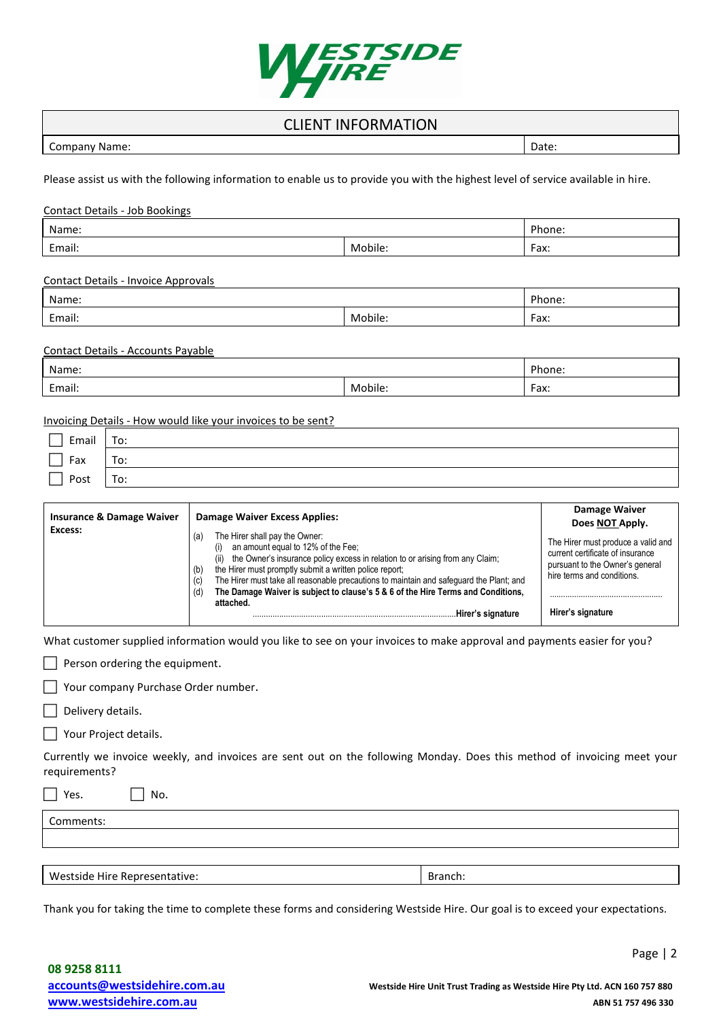

# CLIENT INFORMATION

| Company Name: | Date: |
|---------------|-------|
|               |       |

Please assist us with the following information to enable us to provide you with the highest level of service available in hire.

| Name:                                      |         | Phone: |
|--------------------------------------------|---------|--------|
| Mobile:<br>Email:                          |         | Fax:   |
| <b>Contact Details - Invoice Approvals</b> |         |        |
| Name:                                      |         | Phone: |
| Mobile:<br>Email:                          |         | Fax:   |
| Contact Details - Accounts Payable         |         |        |
| Name:                                      |         | Phone: |
| Email:                                     | Mobile: | Fax:   |

| Email | To: |
|-------|-----|
| Fax   | To: |
| Post  | To: |

| <b>Insurance &amp; Damage Waiver</b> | <b>Damage Waiver Excess Applies:</b>                                                                                                                                                                                                                                                                                                                                                                                                                                         | Damage Waiver<br>Does NOT Apply.                                                                                                                             |
|--------------------------------------|------------------------------------------------------------------------------------------------------------------------------------------------------------------------------------------------------------------------------------------------------------------------------------------------------------------------------------------------------------------------------------------------------------------------------------------------------------------------------|--------------------------------------------------------------------------------------------------------------------------------------------------------------|
| Excess:                              | The Hirer shall pay the Owner:<br>(a)<br>an amount equal to 12% of the Fee:<br>(1)<br>the Owner's insurance policy excess in relation to or arising from any Claim;<br>(ii)<br>the Hirer must promptly submit a written police report;<br>(b)<br>The Hirer must take all reasonable precautions to maintain and safeguard the Plant; and<br>(c)<br>The Damage Waiver is subject to clause's 5 & 6 of the Hire Terms and Conditions,<br>(d)<br>attached.<br>Hirer's signature | The Hirer must produce a valid and<br>current certificate of insurance<br>pursuant to the Owner's general<br>hire terms and conditions.<br>Hirer's signature |

What customer supplied information would you like to see on your invoices to make approval and payments easier for you?

 $\Box$  Person ordering the equipment.

Your company Purchase Order number.

 $\Box$  Delivery details.

Your Project details.

Currently we invoice weekly, and invoices are sent out on the following Monday. Does this method of invoicing meet your requirements?

| No.<br>Yes.                   |         |
|-------------------------------|---------|
| Comments:                     |         |
|                               |         |
|                               |         |
| Westside Hire Representative: | Branch: |

Thank you for taking the time to complete these forms and considering Westside Hire. Our goal is to exceed your expectations.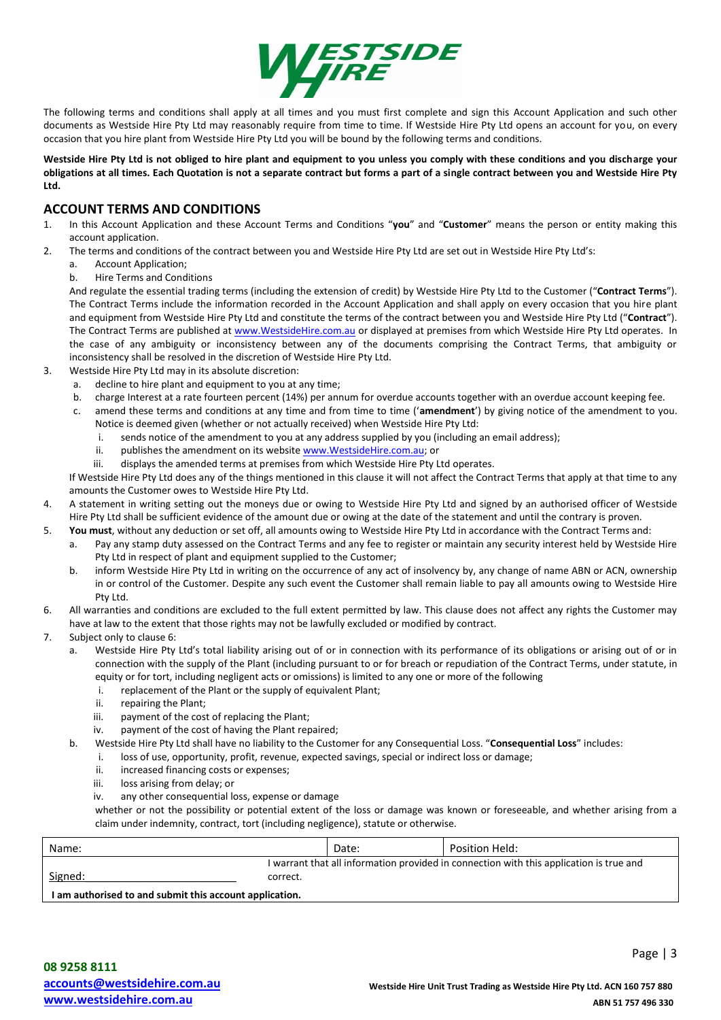

The following terms and conditions shall apply at all times and you must first complete and sign this Account Application and such other documents as Westside Hire Pty Ltd may reasonably require from time to time. If Westside Hire Pty Ltd opens an account for you, on every occasion that you hire plant from Westside Hire Pty Ltd you will be bound by the following terms and conditions.

#### **Westside Hire Pty Ltd is not obliged to hire plant and equipment to you unless you comply with these conditions and you discharge your obligations at all times. Each Quotation is not a separate contract but forms a part of a single contract between you and Westside Hire Pty Ltd.**

# **ACCOUNT TERMS AND CONDITIONS**

- 1. In this Account Application and these Account Terms and Conditions "**you**" and "**Customer**" means the person or entity making this account application.
- 2. The terms and conditions of the contract between you and Westside Hire Pty Ltd are set out in Westside Hire Pty Ltd's:
	- a. Account Application;
	- b. Hire Terms and Conditions

And regulate the essential trading terms (including the extension of credit) by Westside Hire Pty Ltd to the Customer ("**Contract Terms**"). The Contract Terms include the information recorded in the Account Application and shall apply on every occasion that you hire plant and equipment from Westside Hire Pty Ltd and constitute the terms of the contract between you and Westside Hire Pty Ltd ("**Contract**"). The Contract Terms are published a[t www.WestsideHire.com.au o](http://www.westsidehire.com.au/)r displayed at premises from which Westside Hire Pty Ltd operates. In the case of any ambiguity or inconsistency between any of the documents comprising the Contract Terms, that ambiguity or inconsistency shall be resolved in the discretion of Westside Hire Pty Ltd.

- 3. Westside Hire Pty Ltd may in its absolute discretion:
	- a. decline to hire plant and equipment to you at any time;
	- b. charge Interest at a rate fourteen percent (14%) per annum for overdue accounts together with an overdue account keeping fee.
	- c. amend these terms and conditions at any time and from time to time ('**amendment**') by giving notice of the amendment to you. Notice is deemed given (whether or not actually received) when Westside Hire Pty Ltd:
		- i. sends notice of the amendment to you at any address supplied by you (including an email address);
		- ii. publishes the amendment on its websit[e www.WestsideHire.com.au;](http://www.westsidehire.com.au/) or
		- iii. displays the amended terms at premises from which Westside Hire Pty Ltd operates.

If Westside Hire Pty Ltd does any of the things mentioned in this clause it will not affect the Contract Terms that apply at that time to any amounts the Customer owes to Westside Hire Pty Ltd.

- 4. A statement in writing setting out the moneys due or owing to Westside Hire Pty Ltd and signed by an authorised officer of Westside Hire Pty Ltd shall be sufficient evidence of the amount due or owing at the date of the statement and until the contrary is proven.
- 5. **You must**, without any deduction or set off, all amounts owing to Westside Hire Pty Ltd in accordance with the Contract Terms and:
	- a. Pay any stamp duty assessed on the Contract Terms and any fee to register or maintain any security interest held by Westside Hire Pty Ltd in respect of plant and equipment supplied to the Customer;
	- b. inform Westside Hire Pty Ltd in writing on the occurrence of any act of insolvency by, any change of name ABN or ACN, ownership in or control of the Customer. Despite any such event the Customer shall remain liable to pay all amounts owing to Westside Hire Pty Ltd.
- 6. All warranties and conditions are excluded to the full extent permitted by law. This clause does not affect any rights the Customer may have at law to the extent that those rights may not be lawfully excluded or modified by contract.
- 7. Subject only to clause 6:
	- a. Westside Hire Pty Ltd's total liability arising out of or in connection with its performance of its obligations or arising out of or in connection with the supply of the Plant (including pursuant to or for breach or repudiation of the Contract Terms, under statute, in equity or for tort, including negligent acts or omissions) is limited to any one or more of the following
		- i. replacement of the Plant or the supply of equivalent Plant;
		- ii. repairing the Plant;
		- iii. payment of the cost of replacing the Plant;
		- iv. payment of the cost of having the Plant repaired;
	- b. Westside Hire Pty Ltd shall have no liability to the Customer for any Consequential Loss. "**Consequential Loss**" includes:
		- i. loss of use, opportunity, profit, revenue, expected savings, special or indirect loss or damage;
			- ii. increased financing costs or expenses;
			- iii. loss arising from delay; or
			- iv. any other consequential loss, expense or damage

whether or not the possibility or potential extent of the loss or damage was known or foreseeable, and whether arising from a claim under indemnity, contract, tort (including negligence), statute or otherwise.

| Name:                                                   | Date:                                                                                               |  | Position Held: |
|---------------------------------------------------------|-----------------------------------------------------------------------------------------------------|--|----------------|
| Signed:                                                 | I warrant that all information provided in connection with this application is true and<br>correct. |  |                |
| I am authorised to and submit this account application. |                                                                                                     |  |                |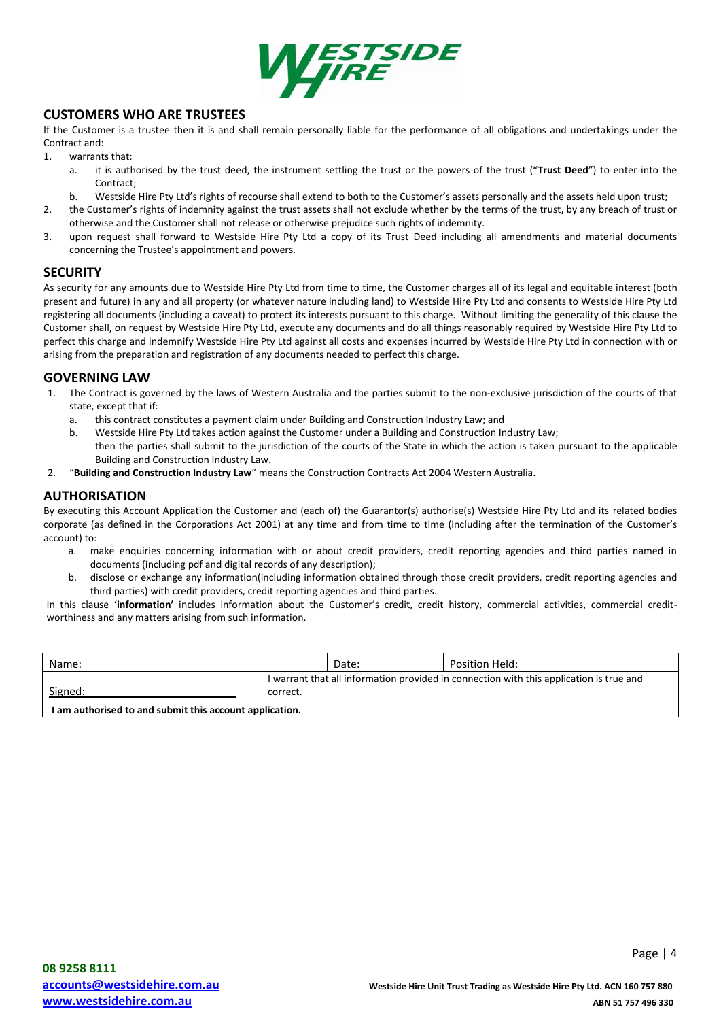

# **CUSTOMERS WHO ARE TRUSTEES**

If the Customer is a trustee then it is and shall remain personally liable for the performance of all obligations and undertakings under the Contract and:

1. warrants that:

- a. it is authorised by the trust deed, the instrument settling the trust or the powers of the trust ("**Trust Deed**") to enter into the Contract;
- b. Westside Hire Pty Ltd's rights of recourse shall extend to both to the Customer's assets personally and the assets held upon trust;
- 2. the Customer's rights of indemnity against the trust assets shall not exclude whether by the terms of the trust, by any breach of trust or otherwise and the Customer shall not release or otherwise prejudice such rights of indemnity.
- 3. upon request shall forward to Westside Hire Pty Ltd a copy of its Trust Deed including all amendments and material documents concerning the Trustee's appointment and powers.

#### **SECURITY**

As security for any amounts due to Westside Hire Pty Ltd from time to time, the Customer charges all of its legal and equitable interest (both present and future) in any and all property (or whatever nature including land) to Westside Hire Pty Ltd and consents to Westside Hire Pty Ltd registering all documents (including a caveat) to protect its interests pursuant to this charge. Without limiting the generality of this clause the Customer shall, on request by Westside Hire Pty Ltd, execute any documents and do all things reasonably required by Westside Hire Pty Ltd to perfect this charge and indemnify Westside Hire Pty Ltd against all costs and expenses incurred by Westside Hire Pty Ltd in connection with or arising from the preparation and registration of any documents needed to perfect this charge.

## **GOVERNING LAW**

- 1. The Contract is governed by the laws of Western Australia and the parties submit to the non-exclusive jurisdiction of the courts of that state, except that if:
	- a. this contract constitutes a payment claim under Building and Construction Industry Law; and
	- b. Westside Hire Pty Ltd takes action against the Customer under a Building and Construction Industry Law; then the parties shall submit to the jurisdiction of the courts of the State in which the action is taken pursuant to the applicable Building and Construction Industry Law.
- 2. "**Building and Construction Industry Law**" means the Construction Contracts Act 2004 Western Australia.

## **AUTHORISATION**

By executing this Account Application the Customer and (each of) the Guarantor(s) authorise(s) Westside Hire Pty Ltd and its related bodies corporate (as defined in the Corporations Act 2001) at any time and from time to time (including after the termination of the Customer's account) to:

- a. make enquiries concerning information with or about credit providers, credit reporting agencies and third parties named in documents (including pdf and digital records of any description);
- b. disclose or exchange any information(including information obtained through those credit providers, credit reporting agencies and third parties) with credit providers, credit reporting agencies and third parties.

In this clause '**information'** includes information about the Customer's credit, credit history, commercial activities, commercial creditworthiness and any matters arising from such information.

| Name:                                                   |                                                                                                     | Date: | Position Held: |
|---------------------------------------------------------|-----------------------------------------------------------------------------------------------------|-------|----------------|
| Signed:                                                 | I warrant that all information provided in connection with this application is true and<br>correct. |       |                |
| I am authorised to and submit this account application. |                                                                                                     |       |                |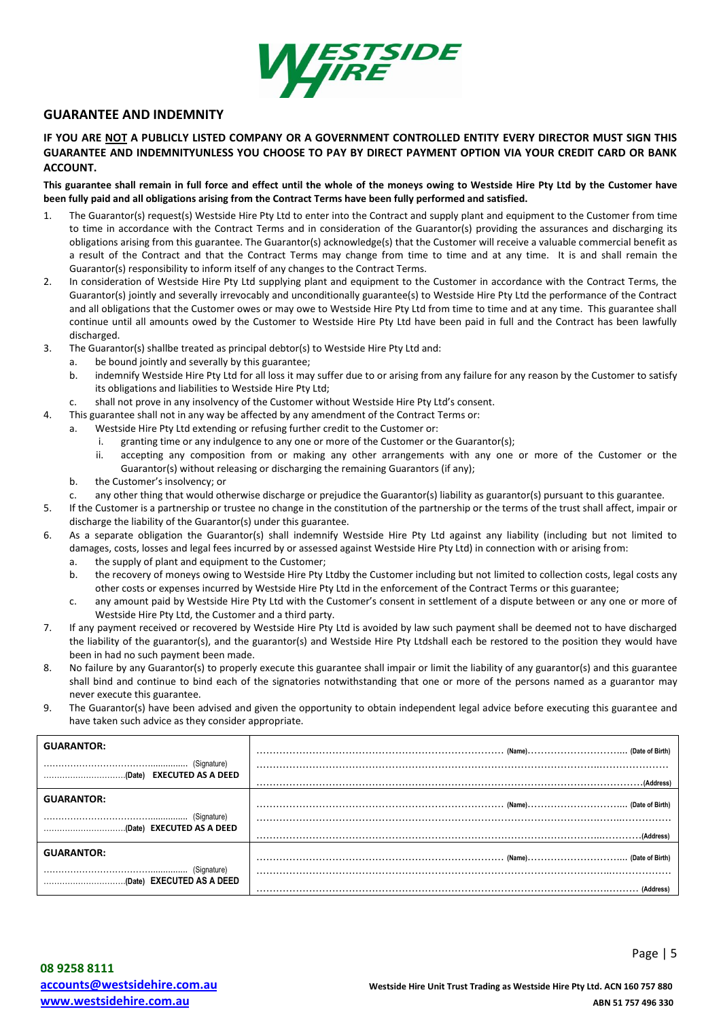

## **GUARANTEE AND INDEMNITY**

#### **IF YOU ARE NOT A PUBLICLY LISTED COMPANY OR A GOVERNMENT CONTROLLED ENTITY EVERY DIRECTOR MUST SIGN THIS GUARANTEE AND INDEMNITYUNLESS YOU CHOOSE TO PAY BY DIRECT PAYMENT OPTION VIA YOUR CREDIT CARD OR BANK ACCOUNT.**

**This guarantee shall remain in full force and effect until the whole of the moneys owing to Westside Hire Pty Ltd by the Customer have been fully paid and all obligations arising from the Contract Terms have been fully performed and satisfied.** 

- 1. The Guarantor(s) request(s) Westside Hire Pty Ltd to enter into the Contract and supply plant and equipment to the Customer from time to time in accordance with the Contract Terms and in consideration of the Guarantor(s) providing the assurances and discharging its obligations arising from this guarantee. The Guarantor(s) acknowledge(s) that the Customer will receive a valuable commercial benefit as a result of the Contract and that the Contract Terms may change from time to time and at any time. It is and shall remain the Guarantor(s) responsibility to inform itself of any changes to the Contract Terms.
- 2. In consideration of Westside Hire Pty Ltd supplying plant and equipment to the Customer in accordance with the Contract Terms, the Guarantor(s) jointly and severally irrevocably and unconditionally guarantee(s) to Westside Hire Pty Ltd the performance of the Contract and all obligations that the Customer owes or may owe to Westside Hire Pty Ltd from time to time and at any time. This guarantee shall continue until all amounts owed by the Customer to Westside Hire Pty Ltd have been paid in full and the Contract has been lawfully discharged.
- 3. The Guarantor(s) shallbe treated as principal debtor(s) to Westside Hire Pty Ltd and:
	- a. be bound jointly and severally by this guarantee;
	- b. indemnify Westside Hire Pty Ltd for all loss it may suffer due to or arising from any failure for any reason by the Customer to satisfy its obligations and liabilities to Westside Hire Pty Ltd;
- c. shall not prove in any insolvency of the Customer without Westside Hire Pty Ltd's consent.
- 4. This guarantee shall not in any way be affected by any amendment of the Contract Terms or:
	- a. Westside Hire Pty Ltd extending or refusing further credit to the Customer or:
		- i. granting time or any indulgence to any one or more of the Customer or the Guarantor(s);
		- ii. accepting any composition from or making any other arrangements with any one or more of the Customer or the Guarantor(s) without releasing or discharging the remaining Guarantors (if any);
	- b. the Customer's insolvency; or
	- c. any other thing that would otherwise discharge or prejudice the Guarantor(s) liability as guarantor(s) pursuant to this guarantee.
- 5. If the Customer is a partnership or trustee no change in the constitution of the partnership or the terms of the trust shall affect, impair or discharge the liability of the Guarantor(s) under this guarantee.
- 6. As a separate obligation the Guarantor(s) shall indemnify Westside Hire Pty Ltd against any liability (including but not limited to damages, costs, losses and legal fees incurred by or assessed against Westside Hire Pty Ltd) in connection with or arising from:
	- a. the supply of plant and equipment to the Customer;
	- b. the recovery of moneys owing to Westside Hire Pty Ltdby the Customer including but not limited to collection costs, legal costs any other costs or expenses incurred by Westside Hire Pty Ltd in the enforcement of the Contract Terms or this guarantee;
	- c. any amount paid by Westside Hire Pty Ltd with the Customer's consent in settlement of a dispute between or any one or more of Westside Hire Pty Ltd, the Customer and a third party.
- 7. If any payment received or recovered by Westside Hire Pty Ltd is avoided by law such payment shall be deemed not to have discharged the liability of the guarantor(s), and the guarantor(s) and Westside Hire Pty Ltdshall each be restored to the position they would have been in had no such payment been made.
- 8. No failure by any Guarantor(s) to properly execute this guarantee shall impair or limit the liability of any guarantor(s) and this guarantee shall bind and continue to bind each of the signatories notwithstanding that one or more of the persons named as a guarantor may never execute this guarantee.
- 9. The Guarantor(s) have been advised and given the opportunity to obtain independent legal advice before executing this guarantee and have taken such advice as they consider appropriate.

| <b>GUARANTOR:</b> |  |
|-------------------|--|
|                   |  |
| <b>GUARANTOR:</b> |  |
|                   |  |
| <b>GUARANTOR:</b> |  |
|                   |  |